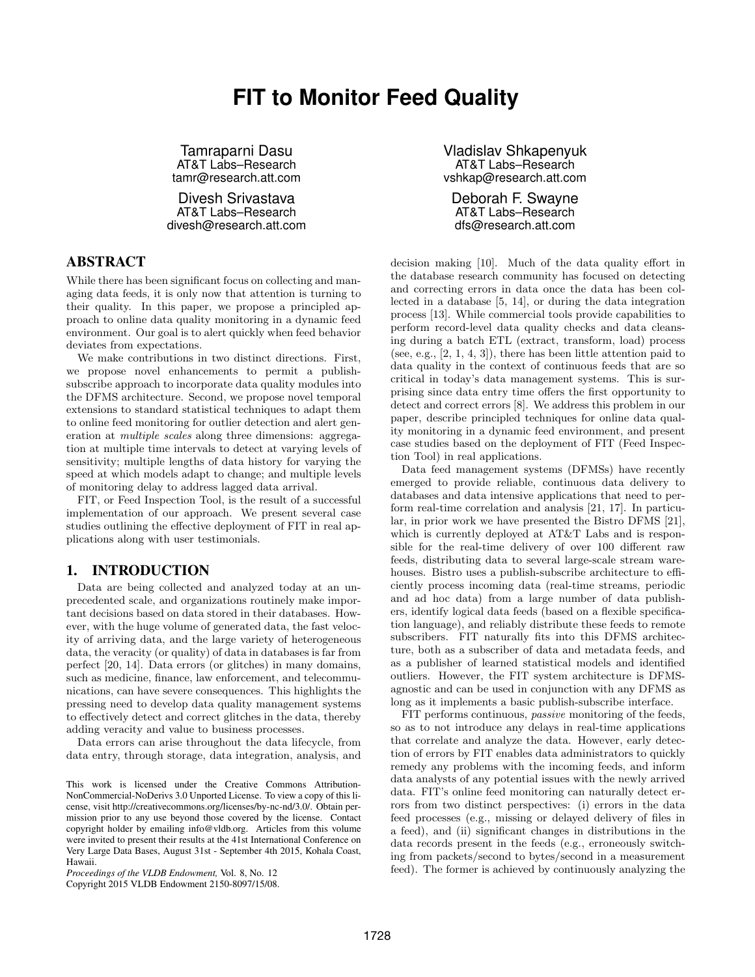# **FIT to Monitor Feed Quality**

Tamraparni Dasu AT&T Labs–Research tamr@research.att.com

Divesh Srivastava AT&T Labs–Research divesh@research.att.com

# ABSTRACT

While there has been significant focus on collecting and managing data feeds, it is only now that attention is turning to their quality. In this paper, we propose a principled approach to online data quality monitoring in a dynamic feed environment. Our goal is to alert quickly when feed behavior deviates from expectations.

We make contributions in two distinct directions. First, we propose novel enhancements to permit a publishsubscribe approach to incorporate data quality modules into the DFMS architecture. Second, we propose novel temporal extensions to standard statistical techniques to adapt them to online feed monitoring for outlier detection and alert generation at multiple scales along three dimensions: aggregation at multiple time intervals to detect at varying levels of sensitivity; multiple lengths of data history for varying the speed at which models adapt to change; and multiple levels of monitoring delay to address lagged data arrival.

FIT, or Feed Inspection Tool, is the result of a successful implementation of our approach. We present several case studies outlining the effective deployment of FIT in real applications along with user testimonials.

## 1. INTRODUCTION

Data are being collected and analyzed today at an unprecedented scale, and organizations routinely make important decisions based on data stored in their databases. However, with the huge volume of generated data, the fast velocity of arriving data, and the large variety of heterogeneous data, the veracity (or quality) of data in databases is far from perfect [20, 14]. Data errors (or glitches) in many domains, such as medicine, finance, law enforcement, and telecommunications, can have severe consequences. This highlights the pressing need to develop data quality management systems to effectively detect and correct glitches in the data, thereby adding veracity and value to business processes.

Data errors can arise throughout the data lifecycle, from data entry, through storage, data integration, analysis, and

Copyright 2015 VLDB Endowment 2150-8097/15/08.

Vladislav Shkapenyuk AT&T Labs–Research vshkap@research.att.com

Deborah F. Swayne AT&T Labs–Research dfs@research.att.com

decision making [10]. Much of the data quality effort in the database research community has focused on detecting and correcting errors in data once the data has been collected in a database [5, 14], or during the data integration process [13]. While commercial tools provide capabilities to perform record-level data quality checks and data cleansing during a batch ETL (extract, transform, load) process (see, e.g., [2, 1, 4, 3]), there has been little attention paid to data quality in the context of continuous feeds that are so critical in today's data management systems. This is surprising since data entry time offers the first opportunity to detect and correct errors [8]. We address this problem in our paper, describe principled techniques for online data quality monitoring in a dynamic feed environment, and present case studies based on the deployment of FIT (Feed Inspection Tool) in real applications.

Data feed management systems (DFMSs) have recently emerged to provide reliable, continuous data delivery to databases and data intensive applications that need to perform real-time correlation and analysis [21, 17]. In particular, in prior work we have presented the Bistro DFMS [21], which is currently deployed at AT&T Labs and is responsible for the real-time delivery of over 100 different raw feeds, distributing data to several large-scale stream warehouses. Bistro uses a publish-subscribe architecture to efficiently process incoming data (real-time streams, periodic and ad hoc data) from a large number of data publishers, identify logical data feeds (based on a flexible specification language), and reliably distribute these feeds to remote subscribers. FIT naturally fits into this DFMS architecture, both as a subscriber of data and metadata feeds, and as a publisher of learned statistical models and identified outliers. However, the FIT system architecture is DFMSagnostic and can be used in conjunction with any DFMS as long as it implements a basic publish-subscribe interface.

FIT performs continuous, passive monitoring of the feeds, so as to not introduce any delays in real-time applications that correlate and analyze the data. However, early detection of errors by FIT enables data administrators to quickly remedy any problems with the incoming feeds, and inform data analysts of any potential issues with the newly arrived data. FIT's online feed monitoring can naturally detect errors from two distinct perspectives: (i) errors in the data feed processes (e.g., missing or delayed delivery of files in a feed), and (ii) significant changes in distributions in the data records present in the feeds (e.g., erroneously switching from packets/second to bytes/second in a measurement feed). The former is achieved by continuously analyzing the

This work is licensed under the Creative Commons Attribution-NonCommercial-NoDerivs 3.0 Unported License. To view a copy of this license, visit http://creativecommons.org/licenses/by-nc-nd/3.0/. Obtain permission prior to any use beyond those covered by the license. Contact copyright holder by emailing info@vldb.org. Articles from this volume were invited to present their results at the 41st International Conference on Very Large Data Bases, August 31st - September 4th 2015, Kohala Coast, Hawaii.

*Proceedings of the VLDB Endowment,* Vol. 8, No. 12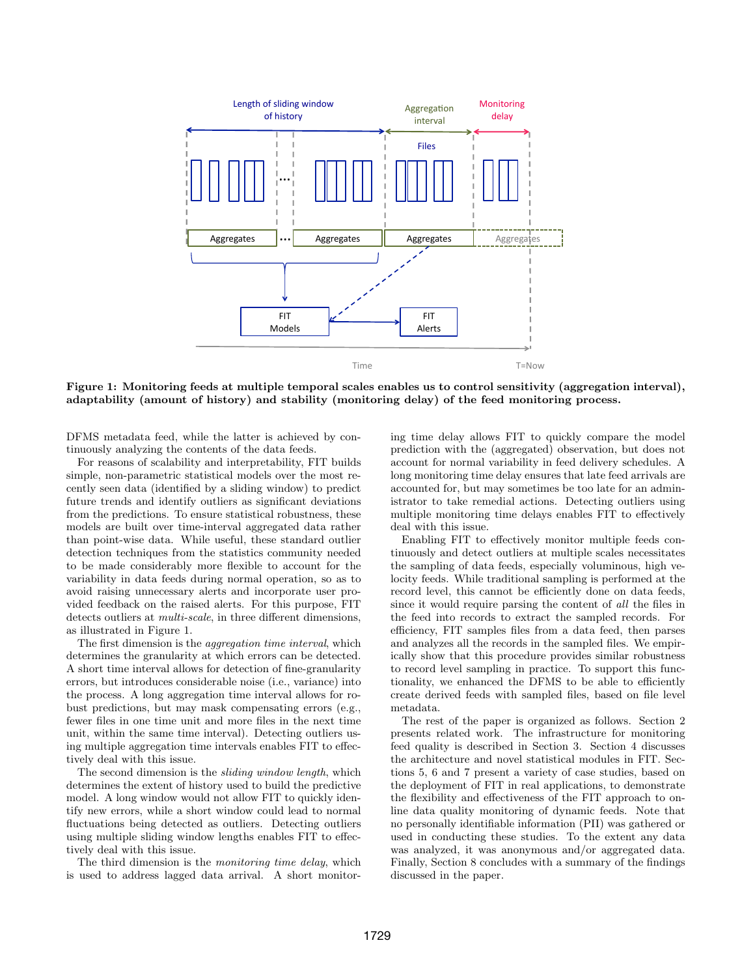

Figure 1: Monitoring feeds at multiple temporal scales enables us to control sensitivity (aggregation interval), adaptability (amount of history) and stability (monitoring delay) of the feed monitoring process.

DFMS metadata feed, while the latter is achieved by continuously analyzing the contents of the data feeds.

For reasons of scalability and interpretability, FIT builds simple, non-parametric statistical models over the most recently seen data (identified by a sliding window) to predict future trends and identify outliers as significant deviations from the predictions. To ensure statistical robustness, these models are built over time-interval aggregated data rather than point-wise data. While useful, these standard outlier detection techniques from the statistics community needed to be made considerably more flexible to account for the variability in data feeds during normal operation, so as to avoid raising unnecessary alerts and incorporate user provided feedback on the raised alerts. For this purpose, FIT detects outliers at *multi-scale*, in three different dimensions, as illustrated in Figure 1.

The first dimension is the aggregation time interval, which determines the granularity at which errors can be detected. A short time interval allows for detection of fine-granularity errors, but introduces considerable noise (i.e., variance) into the process. A long aggregation time interval allows for robust predictions, but may mask compensating errors (e.g., fewer files in one time unit and more files in the next time unit, within the same time interval). Detecting outliers using multiple aggregation time intervals enables FIT to effectively deal with this issue.

The second dimension is the sliding window length, which determines the extent of history used to build the predictive model. A long window would not allow FIT to quickly identify new errors, while a short window could lead to normal fluctuations being detected as outliers. Detecting outliers using multiple sliding window lengths enables FIT to effectively deal with this issue.

The third dimension is the *monitoring time delay*, which is used to address lagged data arrival. A short monitoring time delay allows FIT to quickly compare the model prediction with the (aggregated) observation, but does not account for normal variability in feed delivery schedules. A long monitoring time delay ensures that late feed arrivals are accounted for, but may sometimes be too late for an administrator to take remedial actions. Detecting outliers using multiple monitoring time delays enables FIT to effectively deal with this issue.

Enabling FIT to effectively monitor multiple feeds continuously and detect outliers at multiple scales necessitates the sampling of data feeds, especially voluminous, high velocity feeds. While traditional sampling is performed at the record level, this cannot be efficiently done on data feeds, since it would require parsing the content of all the files in the feed into records to extract the sampled records. For efficiency, FIT samples files from a data feed, then parses and analyzes all the records in the sampled files. We empirically show that this procedure provides similar robustness to record level sampling in practice. To support this functionality, we enhanced the DFMS to be able to efficiently create derived feeds with sampled files, based on file level metadata.

The rest of the paper is organized as follows. Section 2 presents related work. The infrastructure for monitoring feed quality is described in Section 3. Section 4 discusses the architecture and novel statistical modules in FIT. Sections 5, 6 and 7 present a variety of case studies, based on the deployment of FIT in real applications, to demonstrate the flexibility and effectiveness of the FIT approach to online data quality monitoring of dynamic feeds. Note that no personally identifiable information (PII) was gathered or used in conducting these studies. To the extent any data was analyzed, it was anonymous and/or aggregated data. Finally, Section 8 concludes with a summary of the findings discussed in the paper.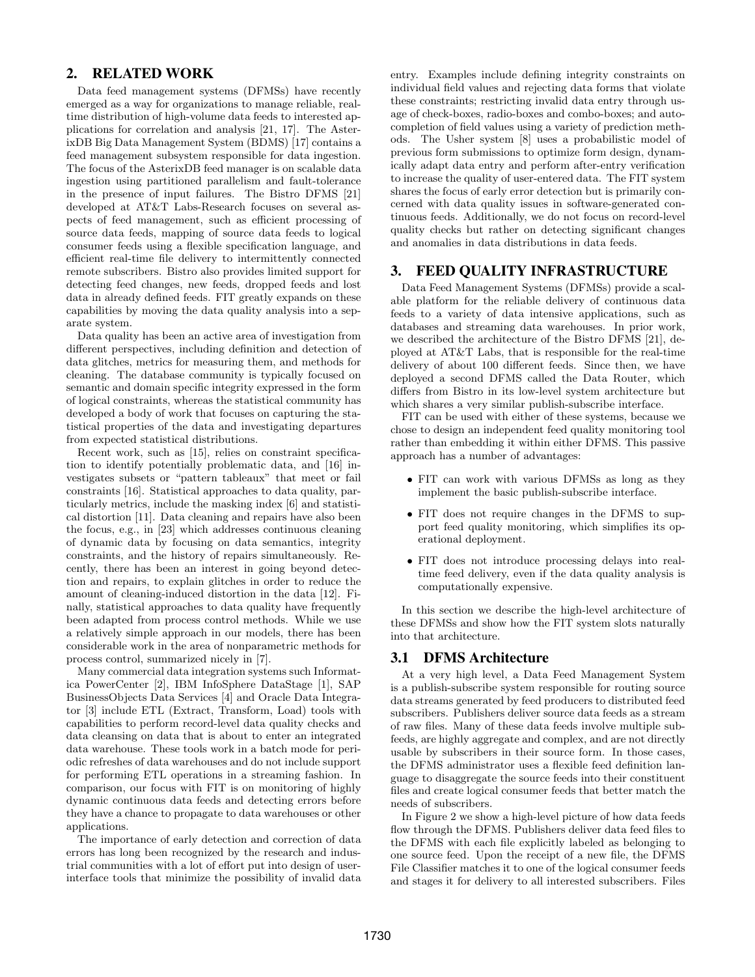## 2. RELATED WORK

Data feed management systems (DFMSs) have recently emerged as a way for organizations to manage reliable, realtime distribution of high-volume data feeds to interested applications for correlation and analysis [21, 17]. The AsterixDB Big Data Management System (BDMS) [17] contains a feed management subsystem responsible for data ingestion. The focus of the AsterixDB feed manager is on scalable data ingestion using partitioned parallelism and fault-tolerance in the presence of input failures. The Bistro DFMS [21] developed at AT&T Labs-Research focuses on several aspects of feed management, such as efficient processing of source data feeds, mapping of source data feeds to logical consumer feeds using a flexible specification language, and efficient real-time file delivery to intermittently connected remote subscribers. Bistro also provides limited support for detecting feed changes, new feeds, dropped feeds and lost data in already defined feeds. FIT greatly expands on these capabilities by moving the data quality analysis into a separate system.

Data quality has been an active area of investigation from different perspectives, including definition and detection of data glitches, metrics for measuring them, and methods for cleaning. The database community is typically focused on semantic and domain specific integrity expressed in the form of logical constraints, whereas the statistical community has developed a body of work that focuses on capturing the statistical properties of the data and investigating departures from expected statistical distributions.

Recent work, such as [15], relies on constraint specification to identify potentially problematic data, and [16] investigates subsets or "pattern tableaux" that meet or fail constraints [16]. Statistical approaches to data quality, particularly metrics, include the masking index [6] and statistical distortion [11]. Data cleaning and repairs have also been the focus, e.g., in [23] which addresses continuous cleaning of dynamic data by focusing on data semantics, integrity constraints, and the history of repairs simultaneously. Recently, there has been an interest in going beyond detection and repairs, to explain glitches in order to reduce the amount of cleaning-induced distortion in the data [12]. Finally, statistical approaches to data quality have frequently been adapted from process control methods. While we use a relatively simple approach in our models, there has been considerable work in the area of nonparametric methods for process control, summarized nicely in [7].

Many commercial data integration systems such Informatica PowerCenter [2], IBM InfoSphere DataStage [1], SAP BusinessObjects Data Services [4] and Oracle Data Integrator [3] include ETL (Extract, Transform, Load) tools with capabilities to perform record-level data quality checks and data cleansing on data that is about to enter an integrated data warehouse. These tools work in a batch mode for periodic refreshes of data warehouses and do not include support for performing ETL operations in a streaming fashion. In comparison, our focus with FIT is on monitoring of highly dynamic continuous data feeds and detecting errors before they have a chance to propagate to data warehouses or other applications.

The importance of early detection and correction of data errors has long been recognized by the research and industrial communities with a lot of effort put into design of userinterface tools that minimize the possibility of invalid data entry. Examples include defining integrity constraints on individual field values and rejecting data forms that violate these constraints; restricting invalid data entry through usage of check-boxes, radio-boxes and combo-boxes; and autocompletion of field values using a variety of prediction methods. The Usher system [8] uses a probabilistic model of previous form submissions to optimize form design, dynamically adapt data entry and perform after-entry verification to increase the quality of user-entered data. The FIT system shares the focus of early error detection but is primarily concerned with data quality issues in software-generated continuous feeds. Additionally, we do not focus on record-level quality checks but rather on detecting significant changes and anomalies in data distributions in data feeds.

# 3. FEED QUALITY INFRASTRUCTURE

Data Feed Management Systems (DFMSs) provide a scalable platform for the reliable delivery of continuous data feeds to a variety of data intensive applications, such as databases and streaming data warehouses. In prior work, we described the architecture of the Bistro DFMS [21], deployed at AT&T Labs, that is responsible for the real-time delivery of about 100 different feeds. Since then, we have deployed a second DFMS called the Data Router, which differs from Bistro in its low-level system architecture but which shares a very similar publish-subscribe interface.

FIT can be used with either of these systems, because we chose to design an independent feed quality monitoring tool rather than embedding it within either DFMS. This passive approach has a number of advantages:

- FIT can work with various DFMSs as long as they implement the basic publish-subscribe interface.
- FIT does not require changes in the DFMS to support feed quality monitoring, which simplifies its operational deployment.
- FIT does not introduce processing delays into realtime feed delivery, even if the data quality analysis is computationally expensive.

In this section we describe the high-level architecture of these DFMSs and show how the FIT system slots naturally into that architecture.

## 3.1 DFMS Architecture

At a very high level, a Data Feed Management System is a publish-subscribe system responsible for routing source data streams generated by feed producers to distributed feed subscribers. Publishers deliver source data feeds as a stream of raw files. Many of these data feeds involve multiple subfeeds, are highly aggregate and complex, and are not directly usable by subscribers in their source form. In those cases, the DFMS administrator uses a flexible feed definition language to disaggregate the source feeds into their constituent files and create logical consumer feeds that better match the needs of subscribers.

In Figure 2 we show a high-level picture of how data feeds flow through the DFMS. Publishers deliver data feed files to the DFMS with each file explicitly labeled as belonging to one source feed. Upon the receipt of a new file, the DFMS File Classifier matches it to one of the logical consumer feeds and stages it for delivery to all interested subscribers. Files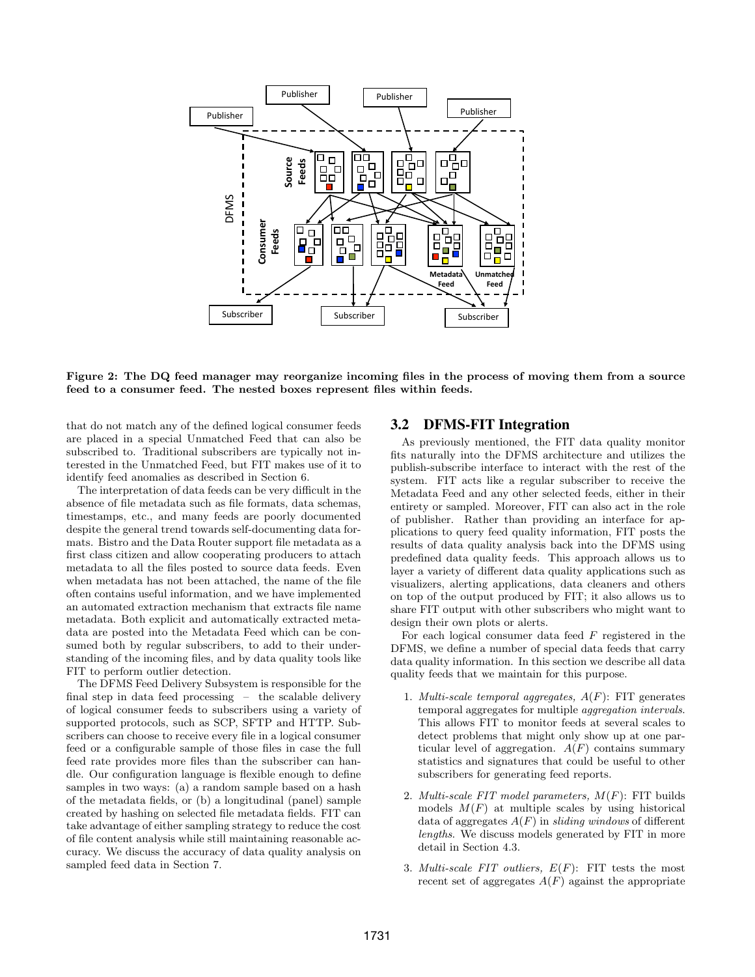

Figure 2: The DQ feed manager may reorganize incoming files in the process of moving them from a source feed to a consumer feed. The nested boxes represent files within feeds.

that do not match any of the defined logical consumer feeds are placed in a special Unmatched Feed that can also be subscribed to. Traditional subscribers are typically not interested in the Unmatched Feed, but FIT makes use of it to identify feed anomalies as described in Section 6.

The interpretation of data feeds can be very difficult in the absence of file metadata such as file formats, data schemas, timestamps, etc., and many feeds are poorly documented despite the general trend towards self-documenting data formats. Bistro and the Data Router support file metadata as a first class citizen and allow cooperating producers to attach metadata to all the files posted to source data feeds. Even when metadata has not been attached, the name of the file often contains useful information, and we have implemented an automated extraction mechanism that extracts file name metadata. Both explicit and automatically extracted metadata are posted into the Metadata Feed which can be consumed both by regular subscribers, to add to their understanding of the incoming files, and by data quality tools like FIT to perform outlier detection.

The DFMS Feed Delivery Subsystem is responsible for the final step in data feed processing – the scalable delivery of logical consumer feeds to subscribers using a variety of supported protocols, such as SCP, SFTP and HTTP. Subscribers can choose to receive every file in a logical consumer feed or a configurable sample of those files in case the full feed rate provides more files than the subscriber can handle. Our configuration language is flexible enough to define samples in two ways: (a) a random sample based on a hash of the metadata fields, or (b) a longitudinal (panel) sample created by hashing on selected file metadata fields. FIT can take advantage of either sampling strategy to reduce the cost of file content analysis while still maintaining reasonable accuracy. We discuss the accuracy of data quality analysis on sampled feed data in Section 7.

### 3.2 DFMS-FIT Integration

As previously mentioned, the FIT data quality monitor fits naturally into the DFMS architecture and utilizes the publish-subscribe interface to interact with the rest of the system. FIT acts like a regular subscriber to receive the Metadata Feed and any other selected feeds, either in their entirety or sampled. Moreover, FIT can also act in the role of publisher. Rather than providing an interface for applications to query feed quality information, FIT posts the results of data quality analysis back into the DFMS using predefined data quality feeds. This approach allows us to layer a variety of different data quality applications such as visualizers, alerting applications, data cleaners and others on top of the output produced by FIT; it also allows us to share FIT output with other subscribers who might want to design their own plots or alerts.

For each logical consumer data feed F registered in the DFMS, we define a number of special data feeds that carry data quality information. In this section we describe all data quality feeds that we maintain for this purpose.

- 1. *Multi-scale temporal aggregates,*  $A(F)$ : FIT generates temporal aggregates for multiple aggregation intervals. This allows FIT to monitor feeds at several scales to detect problems that might only show up at one particular level of aggregation.  $A(F)$  contains summary statistics and signatures that could be useful to other subscribers for generating feed reports.
- 2. Multi-scale FIT model parameters,  $M(F)$ : FIT builds models  $M(F)$  at multiple scales by using historical data of aggregates  $A(F)$  in sliding windows of different lengths. We discuss models generated by FIT in more detail in Section 4.3.
- 3. Multi-scale FIT outliers,  $E(F)$ : FIT tests the most recent set of aggregates  $A(F)$  against the appropriate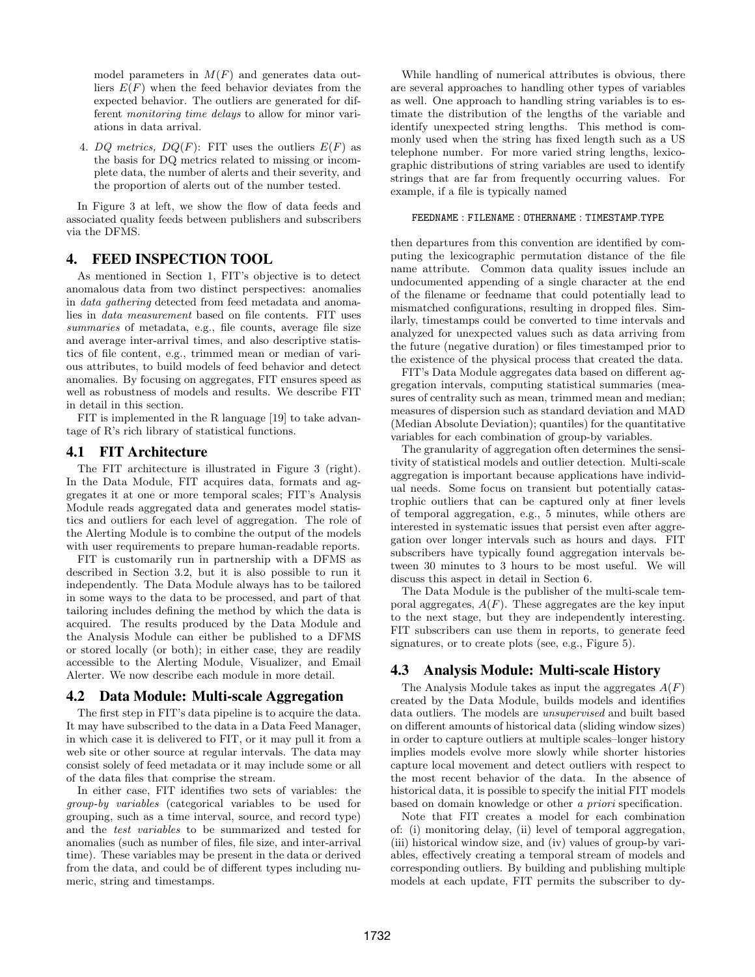model parameters in  $M(F)$  and generates data outliers  $E(F)$  when the feed behavior deviates from the expected behavior. The outliers are generated for different monitoring time delays to allow for minor variations in data arrival.

4. DQ metrics,  $DQ(F)$ : FIT uses the outliers  $E(F)$  as the basis for DQ metrics related to missing or incomplete data, the number of alerts and their severity, and the proportion of alerts out of the number tested.

In Figure 3 at left, we show the flow of data feeds and associated quality feeds between publishers and subscribers via the DFMS.

# 4. FEED INSPECTION TOOL

As mentioned in Section 1, FIT's objective is to detect anomalous data from two distinct perspectives: anomalies in data gathering detected from feed metadata and anomalies in data measurement based on file contents. FIT uses summaries of metadata, e.g., file counts, average file size and average inter-arrival times, and also descriptive statistics of file content, e.g., trimmed mean or median of various attributes, to build models of feed behavior and detect anomalies. By focusing on aggregates, FIT ensures speed as well as robustness of models and results. We describe FIT in detail in this section.

FIT is implemented in the R language [19] to take advantage of R's rich library of statistical functions.

#### 4.1 FIT Architecture

The FIT architecture is illustrated in Figure 3 (right). In the Data Module, FIT acquires data, formats and aggregates it at one or more temporal scales; FIT's Analysis Module reads aggregated data and generates model statistics and outliers for each level of aggregation. The role of the Alerting Module is to combine the output of the models with user requirements to prepare human-readable reports.

FIT is customarily run in partnership with a DFMS as described in Section 3.2, but it is also possible to run it independently. The Data Module always has to be tailored in some ways to the data to be processed, and part of that tailoring includes defining the method by which the data is acquired. The results produced by the Data Module and the Analysis Module can either be published to a DFMS or stored locally (or both); in either case, they are readily accessible to the Alerting Module, Visualizer, and Email Alerter. We now describe each module in more detail.

#### 4.2 Data Module: Multi-scale Aggregation

The first step in FIT's data pipeline is to acquire the data. It may have subscribed to the data in a Data Feed Manager, in which case it is delivered to FIT, or it may pull it from a web site or other source at regular intervals. The data may consist solely of feed metadata or it may include some or all of the data files that comprise the stream.

In either case, FIT identifies two sets of variables: the group-by variables (categorical variables to be used for grouping, such as a time interval, source, and record type) and the test variables to be summarized and tested for anomalies (such as number of files, file size, and inter-arrival time). These variables may be present in the data or derived from the data, and could be of different types including numeric, string and timestamps.

While handling of numerical attributes is obvious, there are several approaches to handling other types of variables as well. One approach to handling string variables is to estimate the distribution of the lengths of the variable and identify unexpected string lengths. This method is commonly used when the string has fixed length such as a US telephone number. For more varied string lengths, lexicographic distributions of string variables are used to identify strings that are far from frequently occurring values. For example, if a file is typically named

#### FEEDNAME : FILENAME : OTHERNAME : TIMESTAMP.TYPE

then departures from this convention are identified by computing the lexicographic permutation distance of the file name attribute. Common data quality issues include an undocumented appending of a single character at the end of the filename or feedname that could potentially lead to mismatched configurations, resulting in dropped files. Similarly, timestamps could be converted to time intervals and analyzed for unexpected values such as data arriving from the future (negative duration) or files timestamped prior to the existence of the physical process that created the data.

FIT's Data Module aggregates data based on different aggregation intervals, computing statistical summaries (measures of centrality such as mean, trimmed mean and median; measures of dispersion such as standard deviation and MAD (Median Absolute Deviation); quantiles) for the quantitative variables for each combination of group-by variables.

The granularity of aggregation often determines the sensitivity of statistical models and outlier detection. Multi-scale aggregation is important because applications have individual needs. Some focus on transient but potentially catastrophic outliers that can be captured only at finer levels of temporal aggregation, e.g., 5 minutes, while others are interested in systematic issues that persist even after aggregation over longer intervals such as hours and days. FIT subscribers have typically found aggregation intervals between 30 minutes to 3 hours to be most useful. We will discuss this aspect in detail in Section 6.

The Data Module is the publisher of the multi-scale temporal aggregates,  $A(F)$ . These aggregates are the key input to the next stage, but they are independently interesting. FIT subscribers can use them in reports, to generate feed signatures, or to create plots (see, e.g., Figure 5).

### 4.3 Analysis Module: Multi-scale History

The Analysis Module takes as input the aggregates  $A(F)$ created by the Data Module, builds models and identifies data outliers. The models are unsupervised and built based on different amounts of historical data (sliding window sizes) in order to capture outliers at multiple scales–longer history implies models evolve more slowly while shorter histories capture local movement and detect outliers with respect to the most recent behavior of the data. In the absence of historical data, it is possible to specify the initial FIT models based on domain knowledge or other a priori specification.

Note that FIT creates a model for each combination of: (i) monitoring delay, (ii) level of temporal aggregation, (iii) historical window size, and (iv) values of group-by variables, effectively creating a temporal stream of models and corresponding outliers. By building and publishing multiple models at each update, FIT permits the subscriber to dy-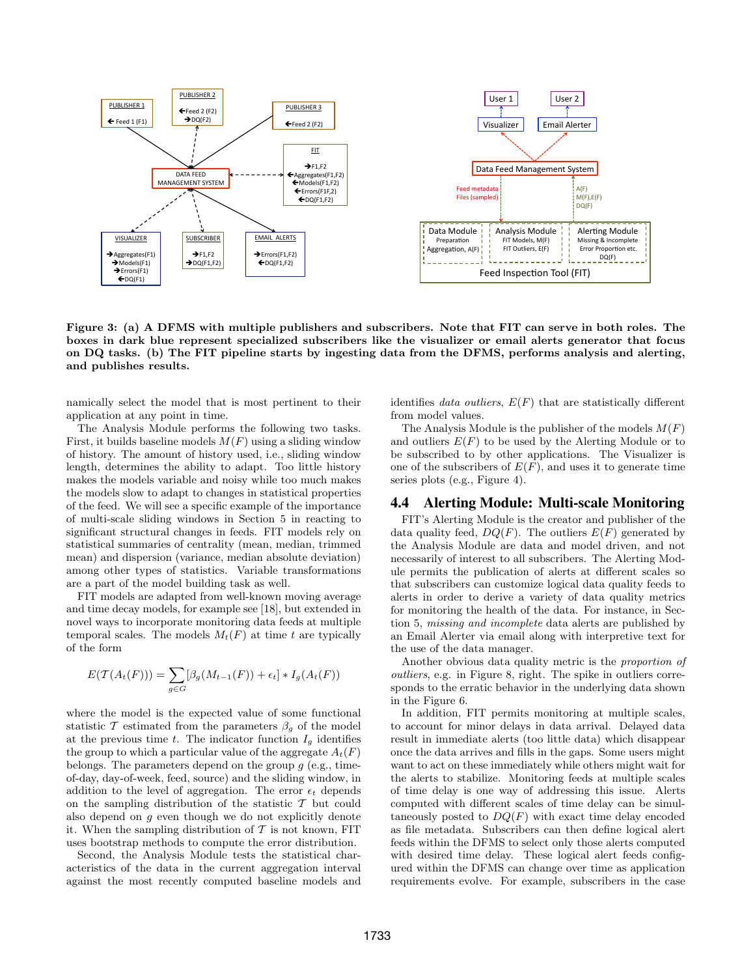

Figure 3: (a) A DFMS with multiple publishers and subscribers. Note that FIT can serve in both roles. The boxes in dark blue represent specialized subscribers like the visualizer or email alerts generator that focus on DQ tasks. (b) The FIT pipeline starts by ingesting data from the DFMS, performs analysis and alerting, and publishes results.

namically select the model that is most pertinent to their application at any point in time.

The Analysis Module performs the following two tasks. First, it builds baseline models  $M(F)$  using a sliding window of history. The amount of history used, i.e., sliding window length, determines the ability to adapt. Too little history makes the models variable and noisy while too much makes the models slow to adapt to changes in statistical properties of the feed. We will see a specific example of the importance of multi-scale sliding windows in Section 5 in reacting to significant structural changes in feeds. FIT models rely on statistical summaries of centrality (mean, median, trimmed mean) and dispersion (variance, median absolute deviation) among other types of statistics. Variable transformations are a part of the model building task as well.

FIT models are adapted from well-known moving average and time decay models, for example see [18], but extended in novel ways to incorporate monitoring data feeds at multiple temporal scales. The models  $M_t(F)$  at time t are typically of the form

$$
E(\mathcal{T}(A_t(F))) = \sum_{g \in G} [\beta_g(M_{t-1}(F)) + \epsilon_t] * I_g(A_t(F))
$$

where the model is the expected value of some functional statistic T estimated from the parameters  $\beta_g$  of the model at the previous time t. The indicator function  $I_q$  identifies the group to which a particular value of the aggregate  $A_t(F)$ belongs. The parameters depend on the group  $q$  (e.g., timeof-day, day-of-week, feed, source) and the sliding window, in addition to the level of aggregation. The error  $\epsilon_t$  depends on the sampling distribution of the statistic  $\mathcal T$  but could also depend on g even though we do not explicitly denote it. When the sampling distribution of  $\mathcal T$  is not known, FIT uses bootstrap methods to compute the error distribution.

Second, the Analysis Module tests the statistical characteristics of the data in the current aggregation interval against the most recently computed baseline models and identifies *data outliers*,  $E(F)$  that are statistically different from model values.

The Analysis Module is the publisher of the models  $M(F)$ and outliers  $E(F)$  to be used by the Alerting Module or to be subscribed to by other applications. The Visualizer is one of the subscribers of  $E(F)$ , and uses it to generate time series plots (e.g., Figure 4).

#### 4.4 Alerting Module: Multi-scale Monitoring

FIT's Alerting Module is the creator and publisher of the data quality feed,  $DQ(F)$ . The outliers  $E(F)$  generated by the Analysis Module are data and model driven, and not necessarily of interest to all subscribers. The Alerting Module permits the publication of alerts at different scales so that subscribers can customize logical data quality feeds to alerts in order to derive a variety of data quality metrics for monitoring the health of the data. For instance, in Section 5, missing and incomplete data alerts are published by an Email Alerter via email along with interpretive text for the use of the data manager.

Another obvious data quality metric is the proportion of outliers, e.g. in Figure 8, right. The spike in outliers corresponds to the erratic behavior in the underlying data shown in the Figure 6.

In addition, FIT permits monitoring at multiple scales, to account for minor delays in data arrival. Delayed data result in immediate alerts (too little data) which disappear once the data arrives and fills in the gaps. Some users might want to act on these immediately while others might wait for the alerts to stabilize. Monitoring feeds at multiple scales of time delay is one way of addressing this issue. Alerts computed with different scales of time delay can be simultaneously posted to  $DQ(F)$  with exact time delay encoded as file metadata. Subscribers can then define logical alert feeds within the DFMS to select only those alerts computed with desired time delay. These logical alert feeds configured within the DFMS can change over time as application requirements evolve. For example, subscribers in the case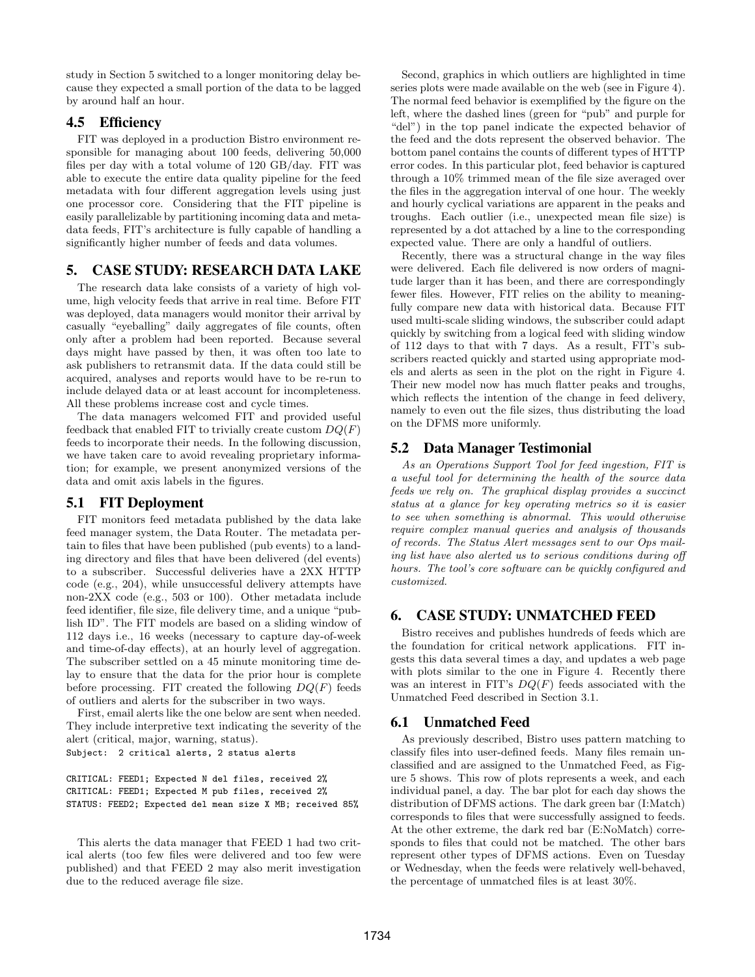study in Section 5 switched to a longer monitoring delay because they expected a small portion of the data to be lagged by around half an hour.

# 4.5 Efficiency

FIT was deployed in a production Bistro environment responsible for managing about 100 feeds, delivering 50,000 files per day with a total volume of 120 GB/day. FIT was able to execute the entire data quality pipeline for the feed metadata with four different aggregation levels using just one processor core. Considering that the FIT pipeline is easily parallelizable by partitioning incoming data and metadata feeds, FIT's architecture is fully capable of handling a significantly higher number of feeds and data volumes.

# 5. CASE STUDY: RESEARCH DATA LAKE

The research data lake consists of a variety of high volume, high velocity feeds that arrive in real time. Before FIT was deployed, data managers would monitor their arrival by casually "eyeballing" daily aggregates of file counts, often only after a problem had been reported. Because several days might have passed by then, it was often too late to ask publishers to retransmit data. If the data could still be acquired, analyses and reports would have to be re-run to include delayed data or at least account for incompleteness. All these problems increase cost and cycle times.

The data managers welcomed FIT and provided useful feedback that enabled FIT to trivially create custom  $DQ(F)$ feeds to incorporate their needs. In the following discussion, we have taken care to avoid revealing proprietary information; for example, we present anonymized versions of the data and omit axis labels in the figures.

# 5.1 FIT Deployment

FIT monitors feed metadata published by the data lake feed manager system, the Data Router. The metadata pertain to files that have been published (pub events) to a landing directory and files that have been delivered (del events) to a subscriber. Successful deliveries have a 2XX HTTP code (e.g., 204), while unsuccessful delivery attempts have non-2XX code (e.g., 503 or 100). Other metadata include feed identifier, file size, file delivery time, and a unique "publish ID". The FIT models are based on a sliding window of 112 days i.e., 16 weeks (necessary to capture day-of-week and time-of-day effects), at an hourly level of aggregation. The subscriber settled on a 45 minute monitoring time delay to ensure that the data for the prior hour is complete before processing. FIT created the following  $DQ(F)$  feeds of outliers and alerts for the subscriber in two ways.

First, email alerts like the one below are sent when needed. They include interpretive text indicating the severity of the alert (critical, major, warning, status).

Subject: 2 critical alerts, 2 status alerts

CRITICAL: FEED1; Expected N del files, received 2% CRITICAL: FEED1; Expected M pub files, received 2% STATUS: FEED2; Expected del mean size X MB; received 85%

This alerts the data manager that FEED 1 had two critical alerts (too few files were delivered and too few were published) and that FEED 2 may also merit investigation due to the reduced average file size.

Second, graphics in which outliers are highlighted in time series plots were made available on the web (see in Figure 4). The normal feed behavior is exemplified by the figure on the left, where the dashed lines (green for "pub" and purple for "del") in the top panel indicate the expected behavior of the feed and the dots represent the observed behavior. The bottom panel contains the counts of different types of HTTP error codes. In this particular plot, feed behavior is captured through a 10% trimmed mean of the file size averaged over the files in the aggregation interval of one hour. The weekly and hourly cyclical variations are apparent in the peaks and troughs. Each outlier (i.e., unexpected mean file size) is represented by a dot attached by a line to the corresponding expected value. There are only a handful of outliers.

Recently, there was a structural change in the way files were delivered. Each file delivered is now orders of magnitude larger than it has been, and there are correspondingly fewer files. However, FIT relies on the ability to meaningfully compare new data with historical data. Because FIT used multi-scale sliding windows, the subscriber could adapt quickly by switching from a logical feed with sliding window of 112 days to that with 7 days. As a result, FIT's subscribers reacted quickly and started using appropriate models and alerts as seen in the plot on the right in Figure 4. Their new model now has much flatter peaks and troughs, which reflects the intention of the change in feed delivery, namely to even out the file sizes, thus distributing the load on the DFMS more uniformly.

# 5.2 Data Manager Testimonial

As an Operations Support Tool for feed ingestion, FIT is a useful tool for determining the health of the source data feeds we rely on. The graphical display provides a succinct status at a glance for key operating metrics so it is easier to see when something is abnormal. This would otherwise require complex manual queries and analysis of thousands of records. The Status Alert messages sent to our Ops mailing list have also alerted us to serious conditions during off hours. The tool's core software can be quickly configured and customized.

## 6. CASE STUDY: UNMATCHED FEED

Bistro receives and publishes hundreds of feeds which are the foundation for critical network applications. FIT ingests this data several times a day, and updates a web page with plots similar to the one in Figure 4. Recently there was an interest in FIT's  $DQ(F)$  feeds associated with the Unmatched Feed described in Section 3.1.

# 6.1 Unmatched Feed

As previously described, Bistro uses pattern matching to classify files into user-defined feeds. Many files remain unclassified and are assigned to the Unmatched Feed, as Figure 5 shows. This row of plots represents a week, and each individual panel, a day. The bar plot for each day shows the distribution of DFMS actions. The dark green bar (I:Match) corresponds to files that were successfully assigned to feeds. At the other extreme, the dark red bar (E:NoMatch) corresponds to files that could not be matched. The other bars represent other types of DFMS actions. Even on Tuesday or Wednesday, when the feeds were relatively well-behaved, the percentage of unmatched files is at least 30%.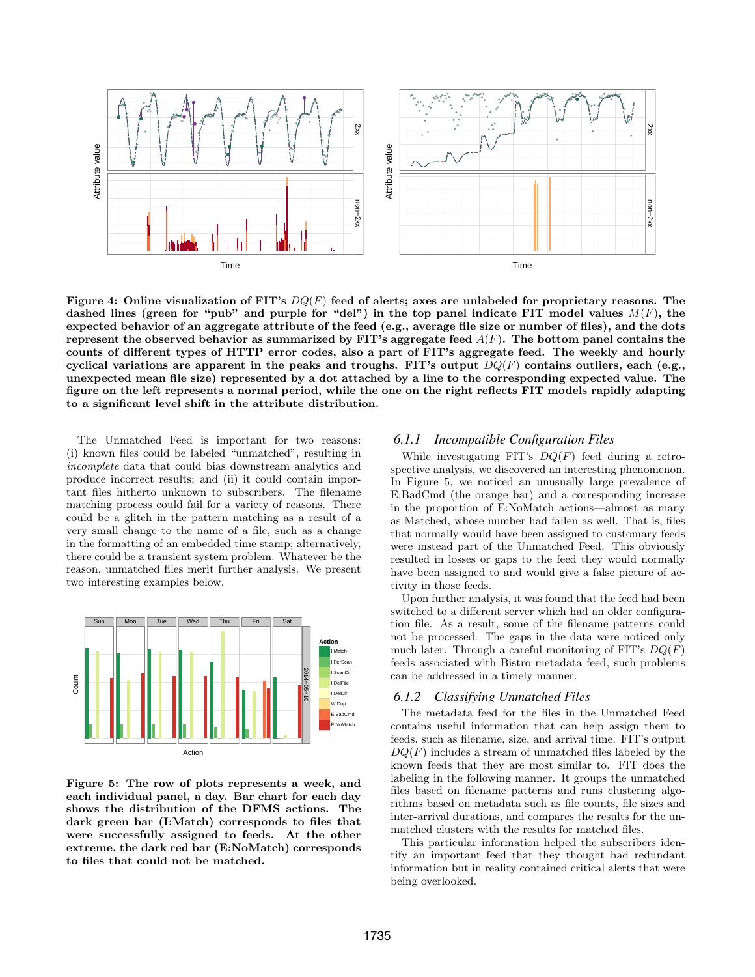

Figure 4: Online visualization of FIT's  $DQ(F)$  feed of alerts; axes are unlabeled for proprietary reasons. The dashed lines (green for "pub" and purple for "del") in the top panel indicate FIT model values  $M(F)$ , the expected behavior of an aggregate attribute of the feed (e.g., average file size or number of files), and the dots represent the observed behavior as summarized by FIT's aggregate feed  $A(F)$ . The bottom panel contains the counts of different types of HTTP error codes, also a part of FIT's aggregate feed. The weekly and hourly cyclical variations are apparent in the peaks and troughs. FIT's output  $DQ(F)$  contains outliers, each (e.g., unexpected mean file size) represented by a dot attached by a line to the corresponding expected value. The figure on the left represents a normal period, while the one on the right reflects FIT models rapidly adapting to a significant level shift in the attribute distribution.

The Unmatched Feed is important for two reasons: (i) known files could be labeled "unmatched", resulting in incomplete data that could bias downstream analytics and produce incorrect results; and (ii) it could contain important files hitherto unknown to subscribers. The filename matching process could fail for a variety of reasons. There could be a glitch in the pattern matching as a result of a very small change to the name of a file, such as a change in the formatting of an embedded time stamp; alternatively, there could be a transient system problem. Whatever be the reason, unmatched files merit further analysis. We present two interesting examples below.



Figure 5: The row of plots represents a week, and each individual panel, a day. Bar chart for each day shows the distribution of the DFMS actions. The dark green bar (I:Match) corresponds to files that were successfully assigned to feeds. At the other extreme, the dark red bar (E:NoMatch) corresponds to files that could not be matched.

#### *6.1.1 Incompatible Configuration Files*

While investigating FIT's  $DQ(F)$  feed during a retrospective analysis, we discovered an interesting phenomenon. In Figure 5, we noticed an unusually large prevalence of E:BadCmd (the orange bar) and a corresponding increase in the proportion of E:NoMatch actions—almost as many as Matched, whose number had fallen as well. That is, files that normally would have been assigned to customary feeds were instead part of the Unmatched Feed. This obviously resulted in losses or gaps to the feed they would normally have been assigned to and would give a false picture of activity in those feeds.

Upon further analysis, it was found that the feed had been switched to a different server which had an older configuration file. As a result, some of the filename patterns could not be processed. The gaps in the data were noticed only much later. Through a careful monitoring of FIT's  $DQ(F)$ feeds associated with Bistro metadata feed, such problems can be addressed in a timely manner.

#### *6.1.2 Classifying Unmatched Files*

The metadata feed for the files in the Unmatched Feed contains useful information that can help assign them to feeds, such as filename, size, and arrival time. FIT's output  $DQ(F)$  includes a stream of unmatched files labeled by the known feeds that they are most similar to. FIT does the labeling in the following manner. It groups the unmatched files based on filename patterns and runs clustering algorithms based on metadata such as file counts, file sizes and inter-arrival durations, and compares the results for the unmatched clusters with the results for matched files.

This particular information helped the subscribers identify an important feed that they thought had redundant information but in reality contained critical alerts that were being overlooked.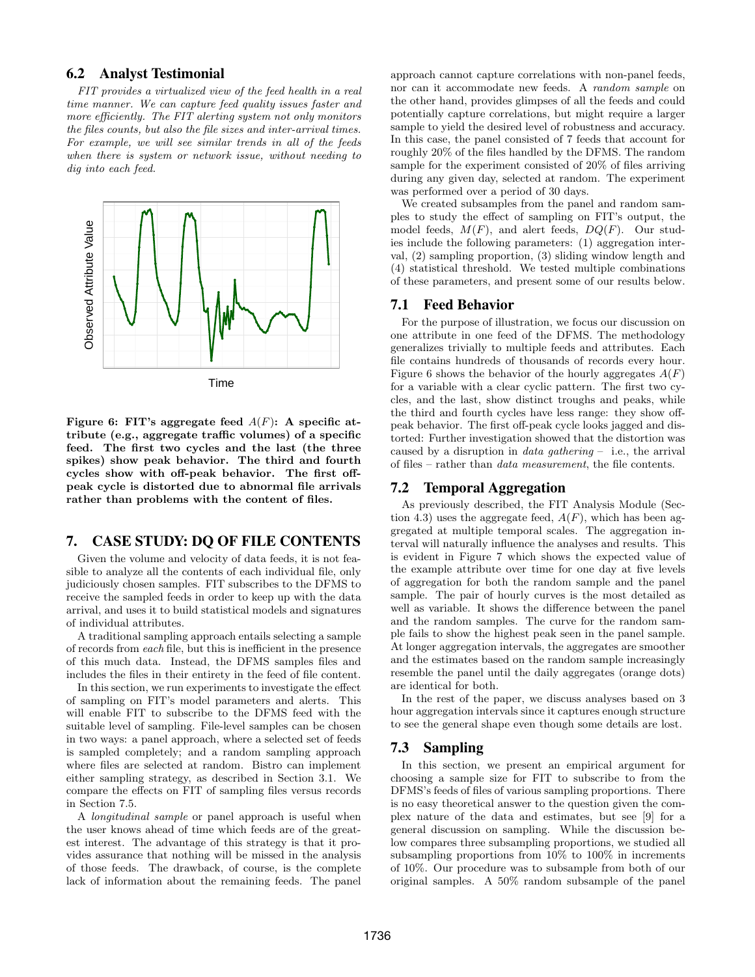### 6.2 Analyst Testimonial

FIT provides a virtualized view of the feed health in a real time manner. We can capture feed quality issues faster and more efficiently. The FIT alerting system not only monitors the files counts, but also the file sizes and inter-arrival times. For example, we will see similar trends in all of the feeds when there is system or network issue, without needing to dig into each feed.



Figure 6: FIT's aggregate feed  $A(F)$ : A specific attribute (e.g., aggregate traffic volumes) of a specific feed. The first two cycles and the last (the three spikes) show peak behavior. The third and fourth cycles show with off-peak behavior. The first offpeak cycle is distorted due to abnormal file arrivals rather than problems with the content of files.

## 7. CASE STUDY: DQ OF FILE CONTENTS

Given the volume and velocity of data feeds, it is not feasible to analyze all the contents of each individual file, only judiciously chosen samples. FIT subscribes to the DFMS to receive the sampled feeds in order to keep up with the data arrival, and uses it to build statistical models and signatures of individual attributes.

A traditional sampling approach entails selecting a sample of records from each file, but this is inefficient in the presence of this much data. Instead, the DFMS samples files and includes the files in their entirety in the feed of file content.

In this section, we run experiments to investigate the effect of sampling on FIT's model parameters and alerts. This will enable FIT to subscribe to the DFMS feed with the suitable level of sampling. File-level samples can be chosen in two ways: a panel approach, where a selected set of feeds is sampled completely; and a random sampling approach where files are selected at random. Bistro can implement either sampling strategy, as described in Section 3.1. We compare the effects on FIT of sampling files versus records in Section 7.5.

A longitudinal sample or panel approach is useful when the user knows ahead of time which feeds are of the greatest interest. The advantage of this strategy is that it provides assurance that nothing will be missed in the analysis of those feeds. The drawback, of course, is the complete lack of information about the remaining feeds. The panel

approach cannot capture correlations with non-panel feeds, nor can it accommodate new feeds. A random sample on the other hand, provides glimpses of all the feeds and could potentially capture correlations, but might require a larger sample to yield the desired level of robustness and accuracy. In this case, the panel consisted of 7 feeds that account for roughly 20% of the files handled by the DFMS. The random sample for the experiment consisted of 20% of files arriving during any given day, selected at random. The experiment was performed over a period of 30 days.

We created subsamples from the panel and random samples to study the effect of sampling on FIT's output, the model feeds,  $M(F)$ , and alert feeds,  $DQ(F)$ . Our studies include the following parameters: (1) aggregation interval, (2) sampling proportion, (3) sliding window length and (4) statistical threshold. We tested multiple combinations of these parameters, and present some of our results below.

#### 7.1 Feed Behavior

For the purpose of illustration, we focus our discussion on one attribute in one feed of the DFMS. The methodology generalizes trivially to multiple feeds and attributes. Each file contains hundreds of thousands of records every hour. Figure 6 shows the behavior of the hourly aggregates  $A(F)$ for a variable with a clear cyclic pattern. The first two cycles, and the last, show distinct troughs and peaks, while the third and fourth cycles have less range: they show offpeak behavior. The first off-peak cycle looks jagged and distorted: Further investigation showed that the distortion was caused by a disruption in *data gathering* – i.e., the arrival of files – rather than data measurement, the file contents.

#### 7.2 Temporal Aggregation

As previously described, the FIT Analysis Module (Section 4.3) uses the aggregate feed,  $A(F)$ , which has been aggregated at multiple temporal scales. The aggregation interval will naturally influence the analyses and results. This is evident in Figure 7 which shows the expected value of the example attribute over time for one day at five levels of aggregation for both the random sample and the panel sample. The pair of hourly curves is the most detailed as well as variable. It shows the difference between the panel and the random samples. The curve for the random sample fails to show the highest peak seen in the panel sample. At longer aggregation intervals, the aggregates are smoother and the estimates based on the random sample increasingly resemble the panel until the daily aggregates (orange dots) are identical for both.

In the rest of the paper, we discuss analyses based on 3 hour aggregation intervals since it captures enough structure to see the general shape even though some details are lost.

### 7.3 Sampling

In this section, we present an empirical argument for choosing a sample size for FIT to subscribe to from the DFMS's feeds of files of various sampling proportions. There is no easy theoretical answer to the question given the complex nature of the data and estimates, but see [9] for a general discussion on sampling. While the discussion below compares three subsampling proportions, we studied all subsampling proportions from 10% to 100% in increments of 10%. Our procedure was to subsample from both of our original samples. A 50% random subsample of the panel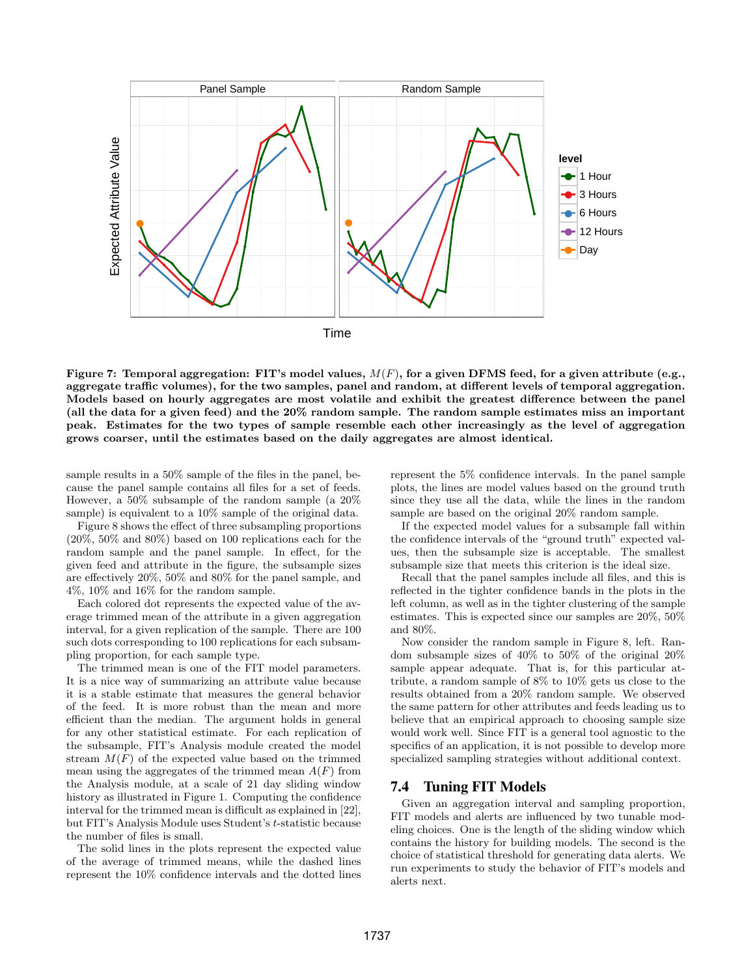

Figure 7: Temporal aggregation: FIT's model values,  $M(F)$ , for a given DFMS feed, for a given attribute (e.g., aggregate traffic volumes), for the two samples, panel and random, at different levels of temporal aggregation. Models based on hourly aggregates are most volatile and exhibit the greatest difference between the panel (all the data for a given feed) and the 20% random sample. The random sample estimates miss an important peak. Estimates for the two types of sample resemble each other increasingly as the level of aggregation grows coarser, until the estimates based on the daily aggregates are almost identical.

sample results in a 50% sample of the files in the panel, because the panel sample contains all files for a set of feeds. However, a 50% subsample of the random sample (a 20% sample) is equivalent to a  $10\%$  sample of the original data.

Figure 8 shows the effect of three subsampling proportions (20%, 50% and 80%) based on 100 replications each for the random sample and the panel sample. In effect, for the given feed and attribute in the figure, the subsample sizes are effectively 20%, 50% and 80% for the panel sample, and 4%, 10% and 16% for the random sample.

Each colored dot represents the expected value of the average trimmed mean of the attribute in a given aggregation interval, for a given replication of the sample. There are 100 such dots corresponding to 100 replications for each subsampling proportion, for each sample type.

The trimmed mean is one of the FIT model parameters. It is a nice way of summarizing an attribute value because it is a stable estimate that measures the general behavior of the feed. It is more robust than the mean and more efficient than the median. The argument holds in general for any other statistical estimate. For each replication of the subsample, FIT's Analysis module created the model stream  $M(F)$  of the expected value based on the trimmed mean using the aggregates of the trimmed mean  $A(F)$  from the Analysis module, at a scale of 21 day sliding window history as illustrated in Figure 1. Computing the confidence interval for the trimmed mean is difficult as explained in [22], but FIT's Analysis Module uses Student's t-statistic because the number of files is small.

The solid lines in the plots represent the expected value of the average of trimmed means, while the dashed lines represent the 10% confidence intervals and the dotted lines

represent the 5% confidence intervals. In the panel sample plots, the lines are model values based on the ground truth since they use all the data, while the lines in the random sample are based on the original 20% random sample.

If the expected model values for a subsample fall within the confidence intervals of the "ground truth" expected values, then the subsample size is acceptable. The smallest subsample size that meets this criterion is the ideal size.

Recall that the panel samples include all files, and this is reflected in the tighter confidence bands in the plots in the left column, as well as in the tighter clustering of the sample estimates. This is expected since our samples are 20%, 50% and 80%.

Now consider the random sample in Figure 8, left. Random subsample sizes of 40% to 50% of the original 20% sample appear adequate. That is, for this particular attribute, a random sample of 8% to 10% gets us close to the results obtained from a 20% random sample. We observed the same pattern for other attributes and feeds leading us to believe that an empirical approach to choosing sample size would work well. Since FIT is a general tool agnostic to the specifics of an application, it is not possible to develop more specialized sampling strategies without additional context.

### 7.4 Tuning FIT Models

Given an aggregation interval and sampling proportion, FIT models and alerts are influenced by two tunable modeling choices. One is the length of the sliding window which contains the history for building models. The second is the choice of statistical threshold for generating data alerts. We run experiments to study the behavior of FIT's models and alerts next.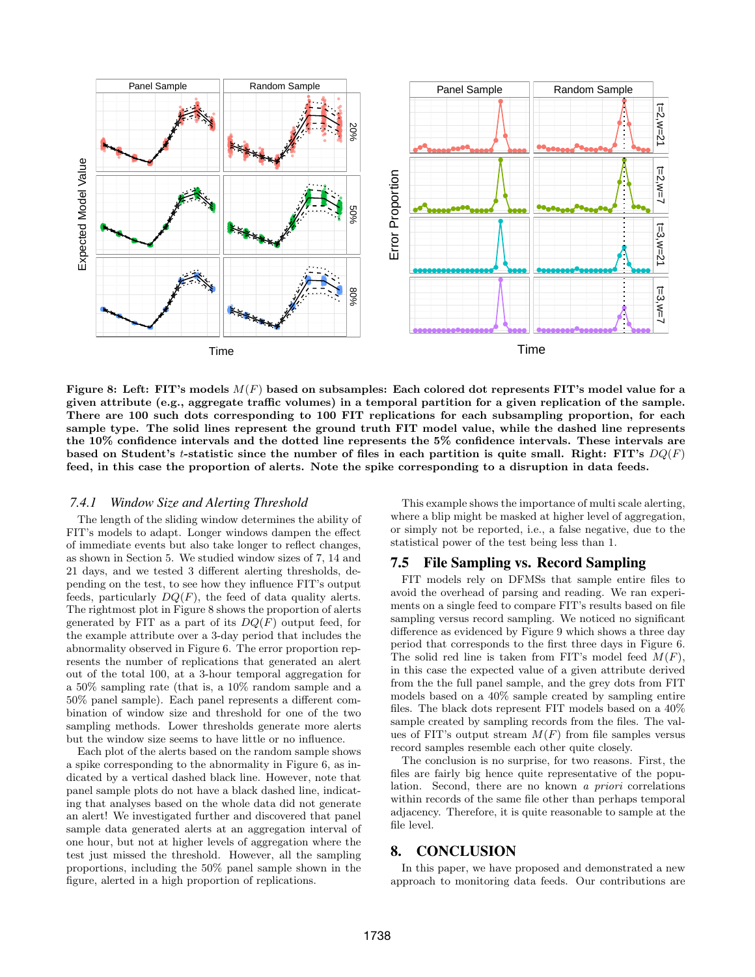

Figure 8: Left: FIT's models  $M(F)$  based on subsamples: Each colored dot represents FIT's model value for a given attribute (e.g., aggregate traffic volumes) in a temporal partition for a given replication of the sample. There are 100 such dots corresponding to 100 FIT replications for each subsampling proportion, for each sample type. The solid lines represent the ground truth FIT model value, while the dashed line represents the 10% confidence intervals and the dotted line represents the 5% confidence intervals. These intervals are based on Student's t-statistic since the number of files in each partition is quite small. Right: FIT's  $DQ(F)$ feed, in this case the proportion of alerts. Note the spike corresponding to a disruption in data feeds.

### *7.4.1 Window Size and Alerting Threshold*

The length of the sliding window determines the ability of FIT's models to adapt. Longer windows dampen the effect of immediate events but also take longer to reflect changes, as shown in Section 5. We studied window sizes of 7, 14 and 21 days, and we tested 3 different alerting thresholds, depending on the test, to see how they influence FIT's output feeds, particularly  $DQ(F)$ , the feed of data quality alerts. The rightmost plot in Figure 8 shows the proportion of alerts generated by FIT as a part of its  $DQ(F)$  output feed, for the example attribute over a 3-day period that includes the abnormality observed in Figure 6. The error proportion represents the number of replications that generated an alert out of the total 100, at a 3-hour temporal aggregation for a 50% sampling rate (that is, a 10% random sample and a 50% panel sample). Each panel represents a different combination of window size and threshold for one of the two sampling methods. Lower thresholds generate more alerts but the window size seems to have little or no influence.

Each plot of the alerts based on the random sample shows a spike corresponding to the abnormality in Figure 6, as indicated by a vertical dashed black line. However, note that panel sample plots do not have a black dashed line, indicating that analyses based on the whole data did not generate an alert! We investigated further and discovered that panel sample data generated alerts at an aggregation interval of one hour, but not at higher levels of aggregation where the test just missed the threshold. However, all the sampling proportions, including the 50% panel sample shown in the figure, alerted in a high proportion of replications.

This example shows the importance of multi scale alerting, where a blip might be masked at higher level of aggregation, or simply not be reported, i.e., a false negative, due to the statistical power of the test being less than 1.

# 7.5 File Sampling vs. Record Sampling

FIT models rely on DFMSs that sample entire files to avoid the overhead of parsing and reading. We ran experiments on a single feed to compare FIT's results based on file sampling versus record sampling. We noticed no significant difference as evidenced by Figure 9 which shows a three day period that corresponds to the first three days in Figure 6. The solid red line is taken from FIT's model feed  $M(F)$ , in this case the expected value of a given attribute derived from the the full panel sample, and the grey dots from FIT models based on a 40% sample created by sampling entire files. The black dots represent FIT models based on a 40% sample created by sampling records from the files. The values of FIT's output stream  $M(F)$  from file samples versus record samples resemble each other quite closely.

The conclusion is no surprise, for two reasons. First, the files are fairly big hence quite representative of the population. Second, there are no known a priori correlations within records of the same file other than perhaps temporal adjacency. Therefore, it is quite reasonable to sample at the file level.

#### 8. CONCLUSION

In this paper, we have proposed and demonstrated a new approach to monitoring data feeds. Our contributions are